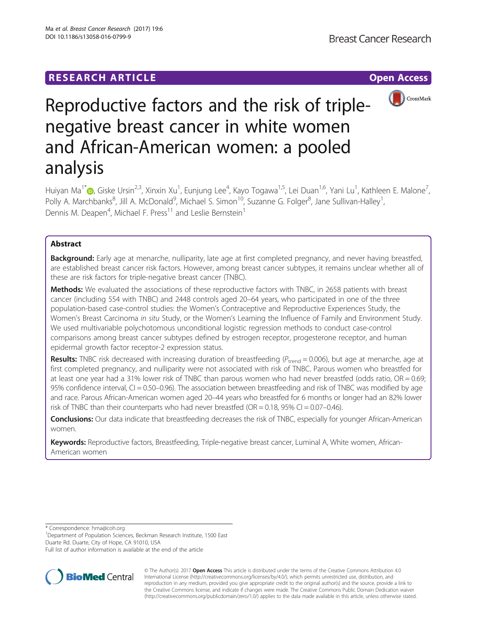

# Reproductive factors and the risk of triplenegative breast cancer in white women and African-American women: a pooled analysis

Huiyan Ma<sup>1[\\*](http://orcid.org/0000-0002-3335-4775)</sup>®, Giske Ursin<sup>2,3</sup>, Xinxin Xu<sup>1</sup>, Eunjung Lee<sup>4</sup>, Kayo Togawa<sup>1,5</sup>, Lei Duan<sup>1,6</sup>, Yani Lu<sup>1</sup>, Kathleen E. Malone<sup>7</sup> , Polly A. Marchbanks<sup>8</sup>, Jill A. McDonald<sup>9</sup>, Michael S. Simon<sup>10</sup>, Suzanne G. Folger<sup>8</sup>, Jane Sullivan-Halley<sup>1</sup> , Dennis M. Deapen<sup>4</sup>, Michael F. Press<sup>11</sup> and Leslie Bernstein<sup>1</sup>

# Abstract

Background: Early age at menarche, nulliparity, late age at first completed pregnancy, and never having breastfed, are established breast cancer risk factors. However, among breast cancer subtypes, it remains unclear whether all of these are risk factors for triple-negative breast cancer (TNBC).

Methods: We evaluated the associations of these reproductive factors with TNBC, in 2658 patients with breast cancer (including 554 with TNBC) and 2448 controls aged 20–64 years, who participated in one of the three population-based case-control studies: the Women's Contraceptive and Reproductive Experiences Study, the Women's Breast Carcinoma in situ Study, or the Women's Learning the Influence of Family and Environment Study. We used multivariable polychotomous unconditional logistic regression methods to conduct case-control comparisons among breast cancer subtypes defined by estrogen receptor, progesterone receptor, and human epidermal growth factor receptor-2 expression status.

**Results:** TNBC risk decreased with increasing duration of breastfeeding ( $P_{\text{trend}} = 0.006$ ), but age at menarche, age at first completed pregnancy, and nulliparity were not associated with risk of TNBC. Parous women who breastfed for at least one year had a 31% lower risk of TNBC than parous women who had never breastfed (odds ratio,  $OR = 0.69$ ; 95% confidence interval, CI = 0.50–0.96). The association between breastfeeding and risk of TNBC was modified by age and race. Parous African-American women aged 20–44 years who breastfed for 6 months or longer had an 82% lower risk of TNBC than their counterparts who had never breastfed ( $OR = 0.18$ ,  $95\%$  CI = 0.07–0.46).

Conclusions: Our data indicate that breastfeeding decreases the risk of TNBC, especially for younger African-American women.

Keywords: Reproductive factors, Breastfeeding, Triple-negative breast cancer, Luminal A, White women, African-American women

\* Correspondence: [hma@coh.org](mailto:hma@coh.org) <sup>1</sup>

<sup>1</sup>Department of Population Sciences, Beckman Research Institute, 1500 East Duarte Rd. Duarte, City of Hope, CA 91010, USA

Full list of author information is available at the end of the article



© The Author(s). 2017 **Open Access** This article is distributed under the terms of the Creative Commons Attribution 4.0 International License [\(http://creativecommons.org/licenses/by/4.0/](http://creativecommons.org/licenses/by/4.0/)), which permits unrestricted use, distribution, and reproduction in any medium, provided you give appropriate credit to the original author(s) and the source, provide a link to the Creative Commons license, and indicate if changes were made. The Creative Commons Public Domain Dedication waiver [\(http://creativecommons.org/publicdomain/zero/1.0/](http://creativecommons.org/publicdomain/zero/1.0/)) applies to the data made available in this article, unless otherwise stated.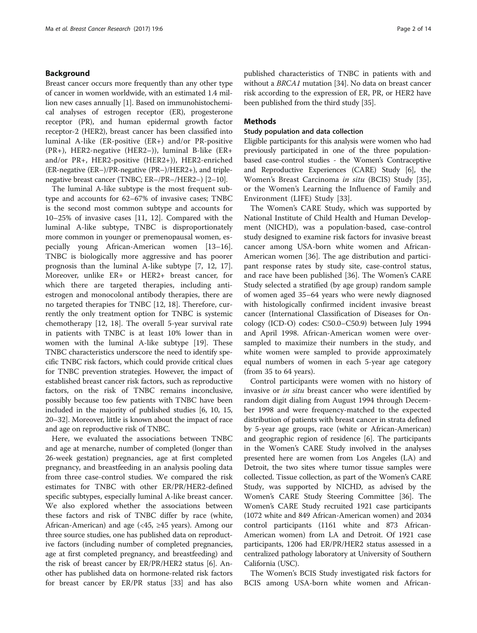## Background

Breast cancer occurs more frequently than any other type of cancer in women worldwide, with an estimated 1.4 million new cases annually [[1\]](#page-11-0). Based on immunohistochemical analyses of estrogen receptor (ER), progesterone receptor (PR), and human epidermal growth factor receptor-2 (HER2), breast cancer has been classified into luminal A-like (ER-positive (ER+) and/or PR-positive (PR+), HER2-negative (HER2–)), luminal B-like (ER+ and/or PR+, HER2-positive (HER2+)), HER2-enriched (ER-negative (ER–)/PR-negative (PR–)/HER2+), and triplenegative breast cancer (TNBC; ER–/PR–/HER2–) [\[2](#page-11-0)–[10](#page-12-0)].

The luminal A-like subtype is the most frequent subtype and accounts for 62–67% of invasive cases; TNBC is the second most common subtype and accounts for 10–25% of invasive cases [[11](#page-12-0), [12\]](#page-12-0). Compared with the luminal A-like subtype, TNBC is disproportionately more common in younger or premenopausal women, especially young African-American women [[13](#page-12-0)–[16](#page-12-0)]. TNBC is biologically more aggressive and has poorer prognosis than the luminal A-like subtype [[7, 12](#page-12-0), [17](#page-12-0)]. Moreover, unlike ER+ or HER2+ breast cancer, for which there are targeted therapies, including antiestrogen and monocolonal antibody therapies, there are no targeted therapies for TNBC [[12](#page-12-0), [18\]](#page-12-0). Therefore, currently the only treatment option for TNBC is systemic chemotherapy [\[12, 18](#page-12-0)]. The overall 5-year survival rate in patients with TNBC is at least 10% lower than in women with the luminal A-like subtype [[19\]](#page-12-0). These TNBC characteristics underscore the need to identify specific TNBC risk factors, which could provide critical clues for TNBC prevention strategies. However, the impact of established breast cancer risk factors, such as reproductive factors, on the risk of TNBC remains inconclusive, possibly because too few patients with TNBC have been included in the majority of published studies [[6](#page-12-0), [10](#page-12-0), [15](#page-12-0), [20](#page-12-0)–[32\]](#page-12-0). Moreover, little is known about the impact of race and age on reproductive risk of TNBC.

Here, we evaluated the associations between TNBC and age at menarche, number of completed (longer than 26-week gestation) pregnancies, age at first completed pregnancy, and breastfeeding in an analysis pooling data from three case-control studies. We compared the risk estimates for TNBC with other ER/PR/HER2-defined specific subtypes, especially luminal A-like breast cancer. We also explored whether the associations between these factors and risk of TNBC differ by race (white, African-American) and age (<45, ≥45 years). Among our three source studies, one has published data on reproductive factors (including number of completed pregnancies, age at first completed pregnancy, and breastfeeding) and the risk of breast cancer by ER/PR/HER2 status [\[6\]](#page-12-0). Another has published data on hormone-related risk factors for breast cancer by ER/PR status [\[33\]](#page-12-0) and has also published characteristics of TNBC in patients with and without a BRCA1 mutation [\[34\]](#page-12-0). No data on breast cancer risk according to the expression of ER, PR, or HER2 have been published from the third study [\[35\]](#page-12-0).

## Methods

## Study population and data collection

Eligible participants for this analysis were women who had previously participated in one of the three populationbased case-control studies - the Women's Contraceptive and Reproductive Experiences (CARE) Study [\[6](#page-12-0)], the Women's Breast Carcinoma in situ (BCIS) Study [\[35](#page-12-0)], or the Women's Learning the Influence of Family and Environment (LIFE) Study [[33](#page-12-0)].

The Women's CARE Study, which was supported by National Institute of Child Health and Human Development (NICHD), was a population-based, case-control study designed to examine risk factors for invasive breast cancer among USA-born white women and African-American women [[36](#page-12-0)]. The age distribution and participant response rates by study site, case-control status, and race have been published [[36\]](#page-12-0). The Women's CARE Study selected a stratified (by age group) random sample of women aged 35–64 years who were newly diagnosed with histologically confirmed incident invasive breast cancer (International Classification of Diseases for Oncology (ICD-O) codes: C50.0–C50.9) between July 1994 and April 1998. African-American women were oversampled to maximize their numbers in the study, and white women were sampled to provide approximately equal numbers of women in each 5-year age category (from 35 to 64 years).

Control participants were women with no history of invasive or in situ breast cancer who were identified by random digit dialing from August 1994 through December 1998 and were frequency-matched to the expected distribution of patients with breast cancer in strata defined by 5-year age groups, race (white or African-American) and geographic region of residence [\[6](#page-12-0)]. The participants in the Women's CARE Study involved in the analyses presented here are women from Los Angeles (LA) and Detroit, the two sites where tumor tissue samples were collected. Tissue collection, as part of the Women's CARE Study, was supported by NICHD, as advised by the Women's CARE Study Steering Committee [[36](#page-12-0)]. The Women's CARE Study recruited 1921 case participants (1072 white and 849 African-American women) and 2034 control participants (1161 white and 873 African-American women) from LA and Detroit. Of 1921 case participants, 1206 had ER/PR/HER2 status assessed in a centralized pathology laboratory at University of Southern California (USC).

The Women's BCIS Study investigated risk factors for BCIS among USA-born white women and African-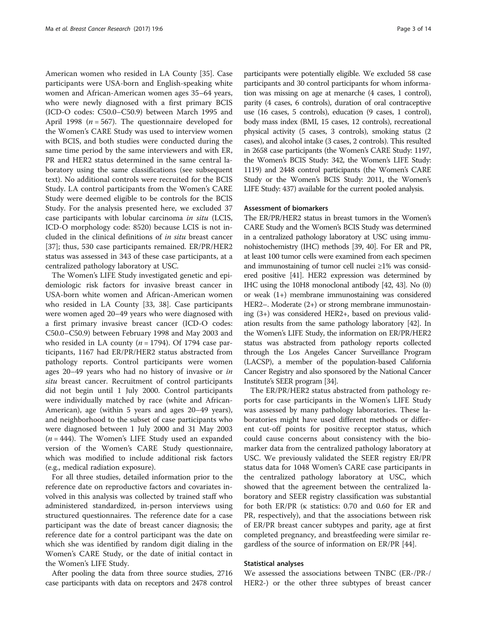American women who resided in LA County [\[35](#page-12-0)]. Case participants were USA-born and English-speaking white women and African-American women ages 35–64 years, who were newly diagnosed with a first primary BCIS (ICD-O codes: C50.0–C50.9) between March 1995 and April 1998 ( $n = 567$ ). The questionnaire developed for the Women's CARE Study was used to interview women with BCIS, and both studies were conducted during the same time period by the same interviewers and with ER, PR and HER2 status determined in the same central laboratory using the same classifications (see subsequent text). No additional controls were recruited for the BCIS Study. LA control participants from the Women's CARE Study were deemed eligible to be controls for the BCIS Study. For the analysis presented here, we excluded 37 case participants with lobular carcinoma in situ (LCIS, ICD-O morphology code: 8520) because LCIS is not included in the clinical definitions of in situ breast cancer [[37\]](#page-12-0); thus, 530 case participants remained. ER/PR/HER2 status was assessed in 343 of these case participants, at a centralized pathology laboratory at USC.

The Women's LIFE Study investigated genetic and epidemiologic risk factors for invasive breast cancer in USA-born white women and African-American women who resided in LA County [\[33](#page-12-0), [38](#page-12-0)]. Case participants were women aged 20–49 years who were diagnosed with a first primary invasive breast cancer (ICD-O codes: C50.0–C50.9) between February 1998 and May 2003 and who resided in LA county ( $n = 1794$ ). Of 1794 case participants, 1167 had ER/PR/HER2 status abstracted from pathology reports. Control participants were women ages 20–49 years who had no history of invasive or in situ breast cancer. Recruitment of control participants did not begin until 1 July 2000. Control participants were individually matched by race (white and African-American), age (within 5 years and ages 20–49 years), and neighborhood to the subset of case participants who were diagnosed between 1 July 2000 and 31 May 2003  $(n = 444)$ . The Women's LIFE Study used an expanded version of the Women's CARE Study questionnaire, which was modified to include additional risk factors (e.g., medical radiation exposure).

For all three studies, detailed information prior to the reference date on reproductive factors and covariates involved in this analysis was collected by trained staff who administered standardized, in-person interviews using structured questionnaires. The reference date for a case participant was the date of breast cancer diagnosis; the reference date for a control participant was the date on which she was identified by random digit dialing in the Women's CARE Study, or the date of initial contact in the Women's LIFE Study.

After pooling the data from three source studies, 2716 case participants with data on receptors and 2478 control

participants were potentially eligible. We excluded 58 case participants and 30 control participants for whom information was missing on age at menarche (4 cases, 1 control), parity (4 cases, 6 controls), duration of oral contraceptive use (16 cases, 5 controls), education (9 cases, 1 control), body mass index (BMI, 15 cases, 12 controls), recreational physical activity (5 cases, 3 controls), smoking status (2 cases), and alcohol intake (3 cases, 2 controls). This resulted in 2658 case participants (the Women's CARE Study: 1197, the Women's BCIS Study: 342, the Women's LIFE Study: 1119) and 2448 control participants (the Women's CARE Study or the Women's BCIS Study: 2011, the Women's LIFE Study: 437) available for the current pooled analysis.

#### Assessment of biomarkers

The ER/PR/HER2 status in breast tumors in the Women's CARE Study and the Women's BCIS Study was determined in a centralized pathology laboratory at USC using immunohistochemistry (IHC) methods [\[39, 40\]](#page-12-0). For ER and PR, at least 100 tumor cells were examined from each specimen and immunostaining of tumor cell nuclei ≥1% was considered positive [\[41](#page-12-0)]. HER2 expression was determined by IHC using the 10H8 monoclonal antibody [[42](#page-13-0), [43\]](#page-13-0). No (0) or weak (1+) membrane immunostaining was considered HER2–. Moderate (2+) or strong membrane immunostaining (3+) was considered HER2+, based on previous validation results from the same pathology laboratory [[42\]](#page-13-0). In the Women's LIFE Study, the information on ER/PR/HER2 status was abstracted from pathology reports collected through the Los Angeles Cancer Surveillance Program (LACSP), a member of the population-based California Cancer Registry and also sponsored by the National Cancer Institute's SEER program [\[34](#page-12-0)].

The ER/PR/HER2 status abstracted from pathology reports for case participants in the Women's LIFE Study was assessed by many pathology laboratories. These laboratories might have used different methods or different cut-off points for positive receptor status, which could cause concerns about consistency with the biomarker data from the centralized pathology laboratory at USC. We previously validated the SEER registry ER/PR status data for 1048 Women's CARE case participants in the centralized pathology laboratory at USC, which showed that the agreement between the centralized laboratory and SEER registry classification was substantial for both ER/PR (κ statistics: 0.70 and 0.60 for ER and PR, respectively), and that the associations between risk of ER/PR breast cancer subtypes and parity, age at first completed pregnancy, and breastfeeding were similar regardless of the source of information on ER/PR [\[44\]](#page-13-0).

### Statistical analyses

We assessed the associations between TNBC (ER-/PR-/ HER2-) or the other three subtypes of breast cancer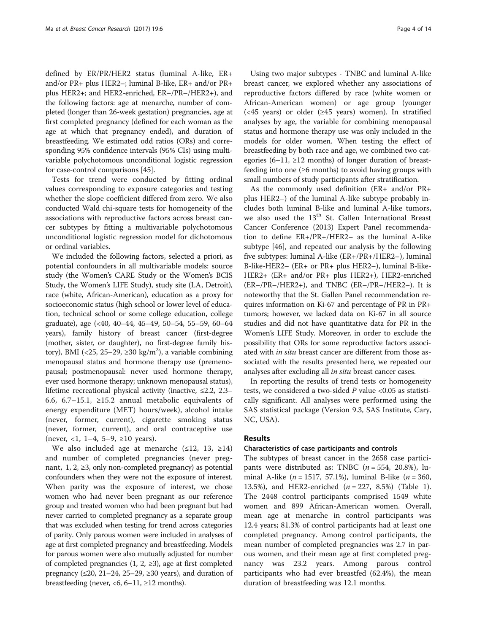defined by ER/PR/HER2 status (luminal A-like, ER+ and/or PR+ plus HER2–; luminal B-like, ER+ and/or PR+ plus HER2+; and HER2-enriched, ER–/PR–/HER2+), and the following factors: age at menarche, number of completed (longer than 26-week gestation) pregnancies, age at first completed pregnancy (defined for each woman as the age at which that pregnancy ended), and duration of breastfeeding. We estimated odd ratios (ORs) and corresponding 95% confidence intervals (95% CIs) using multivariable polychotomous unconditional logistic regression for case-control comparisons [[45](#page-13-0)].

Tests for trend were conducted by fitting ordinal values corresponding to exposure categories and testing whether the slope coefficient differed from zero. We also conducted Wald chi-square tests for homogeneity of the associations with reproductive factors across breast cancer subtypes by fitting a multivariable polychotomous unconditional logistic regression model for dichotomous or ordinal variables.

We included the following factors, selected a priori, as potential confounders in all multivariable models: source study (the Women's CARE Study or the Women's BCIS Study, the Women's LIFE Study), study site (LA, Detroit), race (white, African-American), education as a proxy for socioeconomic status (high school or lower level of education, technical school or some college education, college graduate), age (<40, 40–44, 45–49, 50–54, 55–59, 60–64 years), family history of breast cancer (first-degree (mother, sister, or daughter), no first-degree family history), BMI (<25, 25–29,  $\geq$ 30 kg/m<sup>2</sup>), a variable combining menopausal status and hormone therapy use (premenopausal; postmenopausal: never used hormone therapy, ever used hormone therapy; unknown menopausal status), lifetime recreational physical activity (inactive, ≤2.2, 2.3– 6.6, 6.7–15.1, ≥15.2 annual metabolic equivalents of energy expenditure (MET) hours/week), alcohol intake (never, former, current), cigarette smoking status (never, former, current), and oral contraceptive use (never, <1, 1–4, 5–9,  $\geq$ 10 years).

We also included age at menarche (≤12, 13, ≥14) and number of completed pregnancies (never pregnant, 1, 2,  $\geq$ 3, only non-completed pregnancy) as potential confounders when they were not the exposure of interest. When parity was the exposure of interest, we chose women who had never been pregnant as our reference group and treated women who had been pregnant but had never carried to completed pregnancy as a separate group that was excluded when testing for trend across categories of parity. Only parous women were included in analyses of age at first completed pregnancy and breastfeeding. Models for parous women were also mutually adjusted for number of completed pregnancies  $(1, 2, \geq 3)$ , age at first completed pregnancy ( $\leq 20$ , 21–24, 25–29,  $\geq 30$  years), and duration of breastfeeding (never, <6,  $6-11$ ,  $\geq 12$  months).

Using two major subtypes - TNBC and luminal A-like breast cancer, we explored whether any associations of reproductive factors differed by race (white women or African-American women) or age group (younger (<45 years) or older (≥45 years) women). In stratified analyses by age, the variable for combining menopausal status and hormone therapy use was only included in the models for older women. When testing the effect of breastfeeding by both race and age, we combined two categories (6–11,  $\geq$ 12 months) of longer duration of breastfeeding into one (≥6 months) to avoid having groups with small numbers of study participants after stratification.

As the commonly used definition (ER+ and/or PR+ plus HER2–) of the luminal A-like subtype probably includes both luminal B-like and luminal A-like tumors, we also used the 13<sup>th</sup> St. Gallen International Breast Cancer Conference (2013) Expert Panel recommendation to define ER+/PR+/HER2– as the luminal A-like subtype [[46\]](#page-13-0), and repeated our analysis by the following five subtypes: luminal A-like (ER+/PR+/HER2–), luminal B-like-HER2– (ER+ or PR+ plus HER2–), luminal B-like-HER2+ (ER+ and/or PR+ plus HER2+), HER2-enriched (ER–/PR–/HER2+), and TNBC (ER–/PR–/HER2–). It is noteworthy that the St. Gallen Panel recommendation requires information on Ki-67 and percentage of PR in PR+ tumors; however, we lacked data on Ki-67 in all source studies and did not have quantitative data for PR in the Women's LIFE Study. Moreover, in order to exclude the possibility that ORs for some reproductive factors associated with *in situ* breast cancer are different from those associated with the results presented here, we repeated our analyses after excluding all in situ breast cancer cases.

In reporting the results of trend tests or homogeneity tests, we considered a two-sided  $P$  value <0.05 as statistically significant. All analyses were performed using the SAS statistical package (Version 9.3, SAS Institute, Cary, NC, USA).

## Results

#### Characteristics of case participants and controls

The subtypes of breast cancer in the 2658 case participants were distributed as: TNBC  $(n = 554, 20.8\%)$ , luminal A-like ( $n = 1517, 57.1\%$ ), luminal B-like ( $n = 360$ , 13.5%), and HER2-enriched  $(n = 227, 8.5%)$  (Table [1](#page-4-0)). The 2448 control participants comprised 1549 white women and 899 African-American women. Overall, mean age at menarche in control participants was 12.4 years; 81.3% of control participants had at least one completed pregnancy. Among control participants, the mean number of completed pregnancies was 2.7 in parous women, and their mean age at first completed pregnancy was 23.2 years. Among parous control participants who had ever breastfed (62.4%), the mean duration of breastfeeding was 12.1 months.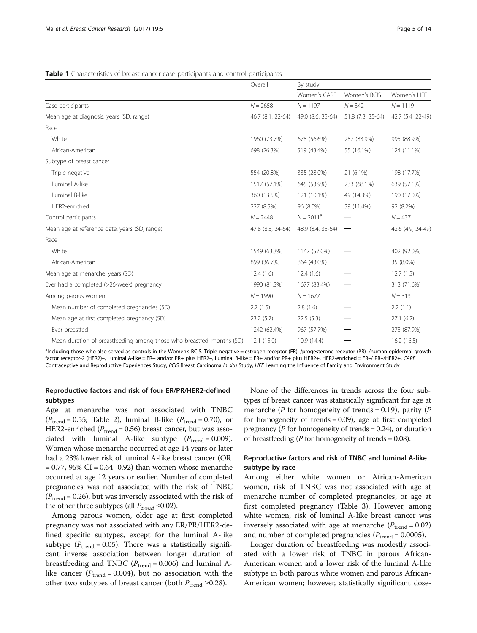<span id="page-4-0"></span>Table 1 Characteristics of breast cancer case participants and control participants

|                                                                       | Overall           | By study          |                   |                   |  |  |
|-----------------------------------------------------------------------|-------------------|-------------------|-------------------|-------------------|--|--|
|                                                                       |                   | Women's CARE      | Women's BCIS      | Women's LIFE      |  |  |
| Case participants                                                     | $N = 2658$        | $N = 1197$        | $N = 342$         | $N = 1119$        |  |  |
| Mean age at diagnosis, years (SD, range)                              | 46.7 (8.1, 22-64) | 49.0 (8.6, 35-64) | 51.8 (7.3, 35-64) | 42.7 (5.4, 22-49) |  |  |
| Race                                                                  |                   |                   |                   |                   |  |  |
| White                                                                 | 1960 (73.7%)      | 678 (56.6%)       | 287 (83.9%)       | 995 (88.9%)       |  |  |
| African-American                                                      | 698 (26.3%)       | 519 (43.4%)       | 55 (16.1%)        | 124 (11.1%)       |  |  |
| Subtype of breast cancer                                              |                   |                   |                   |                   |  |  |
| Triple-negative                                                       | 554 (20.8%)       | 335 (28.0%)       | 21 (6.1%)         | 198 (17.7%)       |  |  |
| Luminal A-like                                                        | 1517 (57.1%)      | 645 (53.9%)       | 233 (68.1%)       | 639 (57.1%)       |  |  |
| Luminal B-like                                                        | 360 (13.5%)       | 121 (10.1%)       | 49 (14.3%)        | 190 (17.0%)       |  |  |
| HER2-enriched                                                         | 227 (8.5%)        | 96 (8.0%)         | 39 (11.4%)        | 92 (8.2%)         |  |  |
| Control participants                                                  | $N = 2448$        | $N = 2011^a$      |                   | $N = 437$         |  |  |
| Mean age at reference date, years (SD, range)                         | 47.8 (8.3, 24-64) | 48.9 (8.4, 35-64) |                   | 42.6 (4.9, 24-49) |  |  |
| Race                                                                  |                   |                   |                   |                   |  |  |
| White                                                                 | 1549 (63.3%)      | 1147 (57.0%)      |                   | 402 (92.0%)       |  |  |
| African-American                                                      | 899 (36.7%)       | 864 (43.0%)       |                   | 35 (8.0%)         |  |  |
| Mean age at menarche, years (SD)                                      | 12.4(1.6)         | 12.4(1.6)         |                   | 12.7(1.5)         |  |  |
| Ever had a completed (>26-week) pregnancy                             | 1990 (81.3%)      | 1677 (83.4%)      |                   | 313 (71.6%)       |  |  |
| Among parous women                                                    | $N = 1990$        | $N = 1677$        |                   | $N = 313$         |  |  |
| Mean number of completed pregnancies (SD)                             | 2.7(1.5)          | 2.8(1.6)          |                   | 2.2(1.1)          |  |  |
| Mean age at first completed pregnancy (SD)                            | 23.2(5.7)         | 22.5(5.3)         |                   | 27.1(6.2)         |  |  |
| Ever breastfed                                                        | 1242 (62.4%)      | 967 (57.7%)       |                   | 275 (87.9%)       |  |  |
| Mean duration of breastfeeding among those who breastfed, months (SD) | 12.1(15.0)        | 10.9 (14.4)       |                   | 16.2(16.5)        |  |  |

a Including those who also served as controls in the Women's BCIS. Triple-negative = estrogen receptor (ER)–/progesterone receptor (PR)–/human epidermal growth factor receptor-2 (HER2)–, Luminal A-like = ER+ and/or PR+ plus HER2–, Luminal B-like = ER+ and/or PR+ plus HER2+, HER2-enriched = ER–/ PR–/HER2+. CARE Contraceptive and Reproductive Experiences Study, BCIS Breast Carcinoma in situ Study, LIFE Learning the Influence of Family and Environment Study

## Reproductive factors and risk of four ER/PR/HER2-defined subtypes

Age at menarche was not associated with TNBC  $(P_{\text{trend}} = 0.55;$  Table [2](#page-5-0)), luminal B-like  $(P_{\text{trend}} = 0.70)$ , or HER2-enriched ( $P_{\text{trend}}$  = 0.56) breast cancer, but was associated with luminal A-like subtype  $(P_{\text{trend}} = 0.009)$ . Women whose menarche occurred at age 14 years or later had a 23% lower risk of luminal A-like breast cancer (OR  $= 0.77, 95\% \text{ CI} = 0.64 - 0.92$ ) than women whose menarche occurred at age 12 years or earlier. Number of completed pregnancies was not associated with the risk of TNBC  $(P_{\text{trend}} = 0.26)$ , but was inversely associated with the risk of the other three subtypes (all  $P_{trend} \leq 0.02$ ).

Among parous women, older age at first completed pregnancy was not associated with any ER/PR/HER2-defined specific subtypes, except for the luminal A-like subtype ( $P_{\text{trend}} = 0.05$ ). There was a statistically significant inverse association between longer duration of breastfeeding and TNBC ( $P_{\text{trend}} = 0.006$ ) and luminal Alike cancer ( $P_{\text{trend}} = 0.004$ ), but no association with the other two subtypes of breast cancer (both  $P_{\text{trend}} \geq 0.28$ ).

None of the differences in trends across the four subtypes of breast cancer was statistically significant for age at menarche ( $P$  for homogeneity of trends = 0.19), parity ( $P$ for homogeneity of trends = 0.09), age at first completed pregnancy ( $P$  for homogeneity of trends = 0.24), or duration of breastfeeding (*P* for homogeneity of trends =  $0.08$ ).

## Reproductive factors and risk of TNBC and luminal A-like subtype by race

Among either white women or African-American women, risk of TNBC was not associated with age at menarche number of completed pregnancies, or age at first completed pregnancy (Table [3\)](#page-6-0). However, among white women, risk of luminal A-like breast cancer was inversely associated with age at menarche ( $P_{\text{trend}} = 0.02$ ) and number of completed pregnancies ( $P_{\text{trend}} = 0.0005$ ).

Longer duration of breastfeeding was modestly associated with a lower risk of TNBC in parous African-American women and a lower risk of the luminal A-like subtype in both parous white women and parous African-American women; however, statistically significant dose-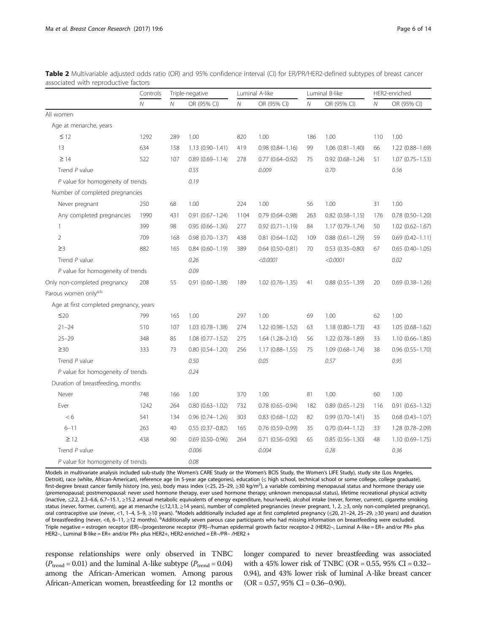<span id="page-5-0"></span>

| Table 2 Multivariable adjusted odds ratio (OR) and 95% confidence interval (CI) for ER/PR/HER2-defined subtypes of breast cancer |  |  |  |
|----------------------------------------------------------------------------------------------------------------------------------|--|--|--|
| associated with reproductive factors                                                                                             |  |  |  |

|                                         | Controls     | Triple-negative |                        | Luminal A-like |                        | Luminal B-like |                     | HER2-enriched |                        |
|-----------------------------------------|--------------|-----------------|------------------------|----------------|------------------------|----------------|---------------------|---------------|------------------------|
|                                         | $\mathcal N$ | $\overline{N}$  | OR (95% CI)            | $\mathcal N$   | OR (95% CI)            | $\mathcal N$   | OR (95% CI)         | $\cal N$      | OR (95% CI)            |
| All women                               |              |                 |                        |                |                        |                |                     |               |                        |
| Age at menarche, years                  |              |                 |                        |                |                        |                |                     |               |                        |
| $\leq$ 12                               | 1292         | 289             | 1.00                   | 820            | 1.00                   | 186            | 1.00                | 110           | 1.00                   |
| 13                                      | 634          | 158             | $1.13(0.90 - 1.41)$    | 419            | $0.98(0.84 - 1.16)$    | 99             | $1.06(0.81 - 1.40)$ | 66            | 1.22 (0.88-1.69)       |
| $\geq$ 14                               | 522          | 107             | $0.89(0.69 - 1.14)$    | 278            | $0.77$ $(0.64 - 0.92)$ | 75             | $0.92(0.68 - 1.24)$ | 51            | $1.07(0.75 - 1.53)$    |
| Trend P value                           |              |                 | 0.55                   |                | 0.009                  |                | 0.70                |               | 0.56                   |
| P value for homogeneity of trends       |              |                 | 0.19                   |                |                        |                |                     |               |                        |
| Number of completed pregnancies         |              |                 |                        |                |                        |                |                     |               |                        |
| Never pregnant                          | 250          | 68              | 1.00                   | 224            | 1.00                   | 56             | 1.00                | 31            | 1.00                   |
| Any completed pregnancies               | 1990         | 431             | $0.91(0.67 - 1.24)$    | 1104           | $0.79(0.64 - 0.98)$    | 263            | $0.82$ (0.58-1.15)  | 176           | $0.78(0.50 - 1.20)$    |
| $\mathbf{1}$                            | 399          | 98              | $0.95(0.66 - 1.36)$    | 277            | $0.92$ $(0.71 - 1.19)$ | 84             | 1.17 (0.79-1.74)    | 50            | $1.02$ (0.62-1.67)     |
| $\overline{2}$                          | 709          | 168             | $0.98(0.70 - 1.37)$    | 438            | $0.81(0.64 - 1.02)$    | 109            | $0.88(0.61 - 1.29)$ | 59            | $0.69(0.42 - 1.11)$    |
| $\geq$ 3                                | 882          | 165             | $0.84(0.60 - 1.19)$    | 389            | $0.64$ $(0.50 - 0.81)$ | 70             | $0.53(0.35 - 0.80)$ | 67            | $0.65$ $(0.40 - 1.05)$ |
| Trend P value                           |              |                 | 0.26                   |                | < 0.0001               |                | < 0.0001            |               | 0.02                   |
| P value for homogeneity of trends       |              |                 | 0.09                   |                |                        |                |                     |               |                        |
| Only non-completed pregnancy            | 208          | 55              | $0.91(0.60 - 1.38)$    | 189            | $1.02$ (0.76-1.35)     | 41             | $0.88(0.55 - 1.39)$ | 20            | $0.69$ $(0.38 - 1.26)$ |
| Parous women onlya,b                    |              |                 |                        |                |                        |                |                     |               |                        |
| Age at first completed pregnancy, years |              |                 |                        |                |                        |                |                     |               |                        |
| $\leq 20$                               | 799          | 165             | 1.00                   | 297            | 1.00                   | 69             | 1.00                | 62            | 1.00                   |
| $21 - 24$                               | 510          | 107             | 1.03 (0.78-1.38)       | 274            | 1.22 (0.98-1.52)       | 63             | 1.18 (0.80-1.73)    | 43            | 1.05 (0.68-1.62)       |
| $25 - 29$                               | 348          | 85              | $1.08(0.77 - 1.52)$    | 275            | 1.64 (1.28-2.10)       | 56             | 1.22 (0.78-1.89)    | 33            | $1.10(0.66 - 1.85)$    |
| $\geq 30$                               | 333          | 73              | $0.80(0.54 - 1.20)$    | 256            | $1.17(0.88 - 1.55)$    | 75             | $1.09(0.68 - 1.74)$ | 38            | $0.96(0.55 - 1.70)$    |
| Trend P value                           |              |                 | 0.50                   |                | 0.05                   |                | 0.57                |               | 0.95                   |
| P value for homogeneity of trends       |              |                 | 0.24                   |                |                        |                |                     |               |                        |
| Duration of breastfeeding, months       |              |                 |                        |                |                        |                |                     |               |                        |
| Never                                   | 748          | 166             | 1.00                   | 370            | 1.00                   | 81             | 1.00                | 60            | 1.00                   |
| Ever                                    | 1242         | 264             | $0.80(0.63 - 1.02)$    | 732            | $0.78$ $(0.65 - 0.94)$ | 182            | $0.89(0.65 - 1.23)$ | 116           | $0.91(0.63 - 1.32)$    |
| < 6                                     | 541          | 134             | $0.96(0.74 - 1.26)$    | 303            | $0.83$ $(0.68 - 1.02)$ | 82             | $0.99(0.70 - 1.41)$ | 35            | $0.68$ $(0.43 - 1.07)$ |
| $6 - 11$                                | 263          | 40              | $0.55(0.37 - 0.82)$    | 165            | $0.76$ (0.59-0.99)     | 35             | $0.70(0.44 - 1.12)$ | 33            | 1.28 (0.78-2.09)       |
| $\geq$ 12                               | 438          | 90              | $0.69$ $(0.50 - 0.96)$ | 264            | $0.71$ $(0.56 - 0.90)$ | 65             | $0.85(0.56 - 1.30)$ | 48            | 1.10 (0.69-1.75)       |
| Trend P value                           |              |                 | 0.006                  |                | 0.004                  |                | 0.28                |               | 0.36                   |
| P value for homogeneity of trends       |              |                 | 0.08                   |                |                        |                |                     |               |                        |

Models in multivariate analysis included sub-study (the Women's CARE Study or the Women's BCIS Study, the Women's LIFE Study), study site (Los Angeles, Detroit), race (white, African-American), reference age (in 5-year age categories), education (≤ high school, technical school or some college, college graduate), first-degree breast cancer family history (no, yes), body mass index (<25, 25–29, ≥30 kg/m<sup>2</sup>), a variable combining menopausal status and hormone therapy use (premenopausal; postmenopausal: never used hormone therapy, ever used hormone therapy; unknown menopausal status), lifetime recreational physical activity (inactive, ≤2.2, 2.3–6.6, 6.7–15.1, ≥15.2 annual metabolic equivalents of energy expenditure, hour/week), alcohol intake (never, former, current), cigarette smoking status (never, former, current), age at menarche (≤12,13, ≥14 years), number of completed pregnancies (never pregnant, 1, 2, ≥3, only non-completed pregnancy), oral contraceptive use (never, <1, 1-4, 5-9, ≥10 years). <sup>a</sup>Models additionally included age at first completed pregnancy (≤20, 21-24, 25-29, ≥30 years) and duration of breastfeeding (never, <6, 6–11, ≥12 months). <sup>b</sup>Additionally seven parous case participants who had missing information on breastfeeding were excluded. Triple negative = estrogen receptor (ER)–/progesterone receptor (PR)–/human epidermal growth factor receptor-2 (HER2)–, Luminal A-like = ER+ and/or PR+ plus HER2–, Luminal B-like = ER+ and/or PR+ plus HER2+, HER2-enriched = ER–/PR– /HER2 +

response relationships were only observed in TNBC  $(P_{\text{trend}} = 0.01)$  and the luminal A-like subtype  $(P_{\text{trend}} = 0.04)$ among the African-American women. Among parous African-American women, breastfeeding for 12 months or longer compared to never breastfeeding was associated with a 45% lower risk of TNBC (OR = 0.55, 95% CI =  $0.32-$ 0.94), and 43% lower risk of luminal A-like breast cancer  $(OR = 0.57, 95\% CI = 0.36 - 0.90).$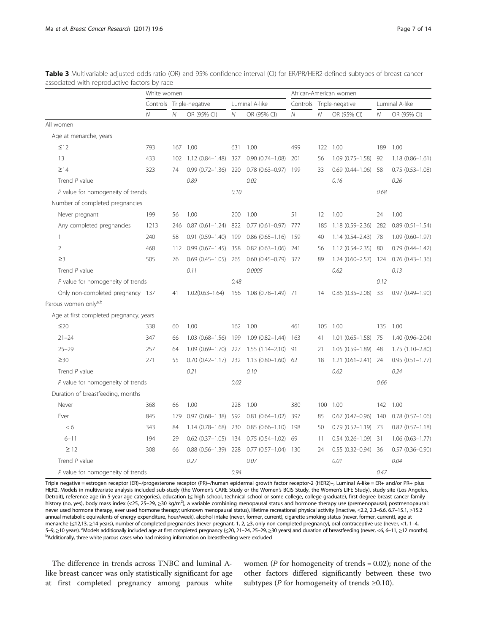|                                         | White women  |                |                            |                |                                                | African-American women |                 |                           |                |                        |
|-----------------------------------------|--------------|----------------|----------------------------|----------------|------------------------------------------------|------------------------|-----------------|---------------------------|----------------|------------------------|
|                                         | Controls     |                | Triple-negative            | Luminal A-like |                                                | Controls               | Triple-negative |                           | Luminal A-like |                        |
|                                         | $\mathcal N$ | $\overline{N}$ | OR (95% CI)                | $\mathcal N$   | OR (95% CI)                                    | Ν                      | $\overline{N}$  | OR (95% CI)               | N              | OR (95% CI)            |
| All women                               |              |                |                            |                |                                                |                        |                 |                           |                |                        |
| Age at menarche, years                  |              |                |                            |                |                                                |                        |                 |                           |                |                        |
| $\leq$ 12                               | 793          | 167            | 1.00                       | 631            | 1.00                                           | 499                    | 122             | 1.00                      | 189            | 1.00                   |
| 13                                      | 433          | 102            | $1.12(0.84 - 1.48)$        | 327            | $0.90(0.74 - 1.08)$                            | 201                    | 56              | $1.09(0.75 - 1.58)$       | 92             | $1.18(0.86 - 1.61)$    |
| $\geq$ 14                               | 323          | 74             |                            |                | $0.99$ $(0.72-1.36)$ 220 0.78 $(0.63-0.97)$    | 199                    | 33              | $0.69(0.44 - 1.06)$       | 58             | $0.75(0.53 - 1.08)$    |
| Trend $P$ value                         |              |                | 0.89                       |                | 0.02                                           |                        |                 | 0.16                      |                | 0.26                   |
| $P$ value for homogeneity of trends     |              |                |                            | 0.10           |                                                |                        |                 |                           | 0.68           |                        |
| Number of completed pregnancies         |              |                |                            |                |                                                |                        |                 |                           |                |                        |
| Never pregnant                          | 199          | 56             | 1.00                       | 200            | 1.00                                           | 51                     | 12              | 1.00                      | 24             | 1.00                   |
| Any completed pregnancies               | 1213         | 246            | $0.87(0.61 - 1.24)$ 822    |                | $0.77$ $(0.61 - 0.97)$ 777                     |                        | 185             | $1.18(0.59 - 2.36)$       | 282            | $0.89(0.51 - 1.54)$    |
| $\mathbf{1}$                            | 240          | 58             | $0.91(0.59 - 1.40)$        | 199            | $0.86$ $(0.65 - 1.16)$                         | 159                    | 40              | $1.14(0.54 - 2.43)$ 78    |                | $1.09(0.60 - 1.97)$    |
| $\overline{2}$                          | 468          | 112            | $0.99(0.67 - 1.45)$ 358    |                | $0.82(0.63 - 1.06)$                            | -241                   | 56              | $1.12(0.54 - 2.35)$ 80    |                | $0.79(0.44 - 1.42)$    |
| $\geq$ 3                                | 505          | 76             | $0.69$ $(0.45-1.05)$ 265   |                | $0.60$ $(0.45 - 0.79)$ 377                     |                        | 89              | $1.24(0.60 - 2.57)$ 124   |                | $0.76$ $(0.43 - 1.36)$ |
| Trend P value                           |              |                | 0.11                       |                | 0.0005                                         |                        |                 | 0.62                      |                | 0.13                   |
| P value for homogeneity of trends       |              |                |                            | 0.48           |                                                |                        |                 |                           | 0.12           |                        |
| Only non-completed pregnancy 137        |              | 41             | $1.02(0.63 - 1.64)$        |                | 156 1.08 (0.78-1.49) 71                        |                        | 14              | $0.86$ $(0.35 - 2.08)$ 33 |                | $0.97(0.49 - 1.90)$    |
| Parous women onlya,b                    |              |                |                            |                |                                                |                        |                 |                           |                |                        |
| Age at first completed pregnancy, years |              |                |                            |                |                                                |                        |                 |                           |                |                        |
| $\leq 20$                               | 338          | 60             | 1.00                       | 162            | 1.00                                           | 461                    | 105             | 1.00                      | 135            | 1.00                   |
| $21 - 24$                               | 347          | 66             | 1.03 (0.68-1.56) 199       |                | $1.09(0.82 - 1.44)$                            | 163                    | 41              | $1.01(0.65 - 1.58)$       | 75             | $1.40(0.96 - 2.04)$    |
| $25 - 29$                               | 257          | 64             | $1.09(0.69 - 1.70)$ 227    |                | $1.55(1.14 - 2.10)$                            | - 91                   | 21              | $1.05(0.59 - 1.89)$       | 48             | 1.75 (1.10-2.80)       |
| $\geq 30$                               | 271          | 55             |                            |                | $0.70$ $(0.42-1.17)$ 232 1.13 $(0.80-1.60)$ 62 |                        | 18              | $1.21(0.61 - 2.41)$ 24    |                | $0.95(0.51 - 1.77)$    |
| Trend P value                           |              |                | 0.21                       |                | 0.10                                           |                        |                 | 0.62                      |                | 0.24                   |
| P value for homogeneity of trends       |              |                |                            | 0.02           |                                                |                        |                 |                           | 0.66           |                        |
| Duration of breastfeeding, months       |              |                |                            |                |                                                |                        |                 |                           |                |                        |
| Never                                   | 368          | 66             | 1.00                       | 228            | 1.00                                           | 380                    | 100             | 1.00                      | 142            | 1.00                   |
| Ever                                    | 845          | 179            | $0.97(0.68 - 1.38)$        | 592            | $0.81(0.64 - 1.02)$                            | 397                    | 85              | $0.67(0.47 - 0.96)$       | 140            | $0.78(0.57-1.06)$      |
| < 6                                     | 343          | 84             | 1.14 (0.78-1.68) 230       |                | $0.85(0.66 - 1.10)$                            | 198                    | 50              | $0.79$ $(0.52-1.19)$ 73   |                | $0.82$ $(0.57 - 1.18)$ |
| $6 - 11$                                | 194          | 29             | $0.62$ $(0.37-1.05)$ 134   |                | $0.75(0.54 - 1.02)$                            | -69                    | 11              | $0.54(0.26 - 1.09)$ 31    |                | $1.06(0.63 - 1.77)$    |
| $\geq$ 12                               | 308          | 66             | $0.88$ $(0.56 - 1.39)$ 228 |                | $0.77$ $(0.57-1.04)$ 130                       |                        | 24              | $0.55(0.32 - 0.94)$ 36    |                | $0.57(0.36 - 0.90)$    |
| Trend P value                           |              |                | 0.27                       |                | 0.07                                           |                        |                 | 0.01                      |                | 0.04                   |
| P value for homogeneity of trends       |              |                |                            | 0.94           |                                                |                        |                 |                           | 0.47           |                        |

<span id="page-6-0"></span>Table 3 Multivariable adjusted odds ratio (OR) and 95% confidence interval (CI) for ER/PR/HER2-defined subtypes of breast cancer associated with reproductive factors by race

Triple negative = estrogen receptor (ER)–/progesterone receptor (PR)–/human epidermal growth factor receptor-2 (HER2)–, Luminal A-like = ER+ and/or PR+ plus HER2. Models in multivariate analysis included sub-study (the Women's CARE Study or the Women's BCIS Study, the Women's LIFE Study), study site (Los Angeles, Detroit), reference age (in 5-year age categories), education (≤ high school, technical school or some college, college graduate), first-degree breast cancer family history (no, yes), body mass index (<25, 25–29, ≥30 kg/m<sup>2</sup>), a variable combining menopausal status and hormone therapy use (premenopausal; postmenopausal: never used hormone therapy, ever used hormone therapy; unknown menopausal status), lifetime recreational physical activity (inactive, ≤2.2, 2.3–6.6, 6.7–15.1, ≥15.2 annual metabolic equivalents of energy expenditure, hour/week), alcohol intake (never, former, current), cigarette smoking status (never, former, current), age at menarche (≤12,13, ≥14 years), number of completed pregnancies (never pregnant, 1, 2, ≥3, only non-completed pregnancy), oral contraceptive use (never, <1, 1–4, 5–9, ≥10 years). <sup>a</sup>Models additionally included age at first completed pregnancy (≤20, 21–24, 25–29, ≥30 years) and duration of breastfeeding (never, <6, 6–11, ≥12 months). <sup>b</sup>Additionally, three white parous cases who had missing information on breastfeeding were excluded

The difference in trends across TNBC and luminal Alike breast cancer was only statistically significant for age at first completed pregnancy among parous white

women ( $P$  for homogeneity of trends = 0.02); none of the other factors differed significantly between these two subtypes (*P* for homogeneity of trends ≥0.10).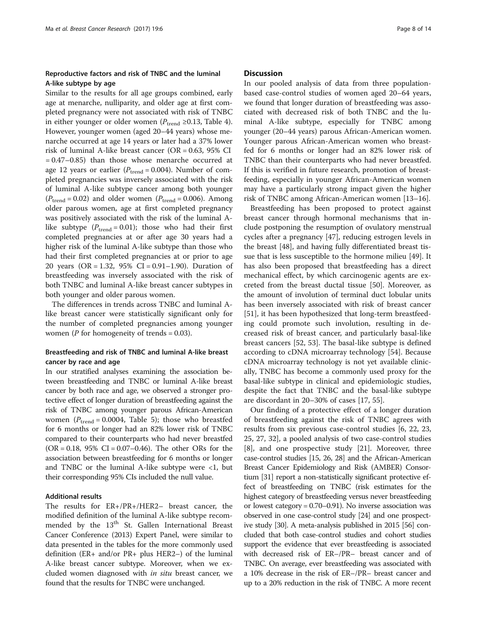## Reproductive factors and risk of TNBC and the luminal A-like subtype by age

Similar to the results for all age groups combined, early age at menarche, nulliparity, and older age at first completed pregnancy were not associated with risk of TNBC in either younger or older women ( $P<sub>trend</sub> ≥ 0.13$ , Table [4](#page-8-0)). However, younger women (aged 20–44 years) whose menarche occurred at age 14 years or later had a 37% lower risk of luminal A-like breast cancer (OR = 0.63, 95% CI  $= 0.47-0.85$ ) than those whose menarche occurred at age 12 years or earlier ( $P_{\text{trend}} = 0.004$ ). Number of completed pregnancies was inversely associated with the risk of luminal A-like subtype cancer among both younger  $(P_{\text{trend}} = 0.02)$  and older women  $(P_{\text{trend}} = 0.006)$ . Among older parous women, age at first completed pregnancy was positively associated with the risk of the luminal Alike subtype  $(P_{\text{trend}} = 0.01)$ ; those who had their first completed pregnancies at or after age 30 years had a higher risk of the luminal A-like subtype than those who had their first completed pregnancies at or prior to age 20 years (OR = 1.32, 95% CI = 0.91–1.90). Duration of breastfeeding was inversely associated with the risk of both TNBC and luminal A-like breast cancer subtypes in both younger and older parous women.

The differences in trends across TNBC and luminal Alike breast cancer were statistically significant only for the number of completed pregnancies among younger women ( $P$  for homogeneity of trends = 0.03).

## Breastfeeding and risk of TNBC and luminal A-like breast cancer by race and age

In our stratified analyses examining the association between breastfeeding and TNBC or luminal A-like breast cancer by both race and age, we observed a stronger protective effect of longer duration of breastfeeding against the risk of TNBC among younger parous African-American women ( $P_{\text{trend}} = 0.0004$ , Table [5](#page-9-0)); those who breastfed for 6 months or longer had an 82% lower risk of TNBC compared to their counterparts who had never breastfed  $(OR = 0.18, 95\% \text{ CI} = 0.07 - 0.46)$ . The other ORs for the association between breastfeeding for 6 months or longer and TNBC or the luminal A-like subtype were  $\langle 1$ , but their corresponding 95% CIs included the null value.

## Additional results

The results for ER+/PR+/HER2– breast cancer, the modified definition of the luminal A-like subtype recommended by the  $13<sup>th</sup>$  St. Gallen International Breast Cancer Conference (2013) Expert Panel, were similar to data presented in the tables for the more commonly used definition (ER+ and/or PR+ plus HER2–) of the luminal A-like breast cancer subtype. Moreover, when we excluded women diagnosed with in situ breast cancer, we found that the results for TNBC were unchanged.

## **Discussion**

In our pooled analysis of data from three populationbased case-control studies of women aged 20–64 years, we found that longer duration of breastfeeding was associated with decreased risk of both TNBC and the luminal A-like subtype, especially for TNBC among younger (20–44 years) parous African-American women. Younger parous African-American women who breastfed for 6 months or longer had an 82% lower risk of TNBC than their counterparts who had never breastfed. If this is verified in future research, promotion of breastfeeding, especially in younger African-American women may have a particularly strong impact given the higher risk of TNBC among African-American women [[13](#page-12-0)–[16](#page-12-0)].

Breastfeeding has been proposed to protect against breast cancer through hormonal mechanisms that include postponing the resumption of ovulatory menstrual cycles after a pregnancy [[47\]](#page-13-0), reducing estrogen levels in the breast [[48\]](#page-13-0), and having fully differentiated breast tissue that is less susceptible to the hormone milieu [[49\]](#page-13-0). It has also been proposed that breastfeeding has a direct mechanical effect, by which carcinogenic agents are excreted from the breast ductal tissue [[50\]](#page-13-0). Moreover, as the amount of involution of terminal duct lobular units has been inversely associated with risk of breast cancer [[51\]](#page-13-0), it has been hypothesized that long-term breastfeeding could promote such involution, resulting in decreased risk of breast cancer, and particularly basal-like breast cancers [[52](#page-13-0), [53\]](#page-13-0). The basal-like subtype is defined according to cDNA microarray technology [[54](#page-13-0)]. Because cDNA microarray technology is not yet available clinically, TNBC has become a commonly used proxy for the basal-like subtype in clinical and epidemiologic studies, despite the fact that TNBC and the basal-like subtype are discordant in 20–30% of cases [\[17,](#page-12-0) [55\]](#page-13-0).

Our finding of a protective effect of a longer duration of breastfeeding against the risk of TNBC agrees with results from six previous case-control studies [\[6](#page-12-0), [22, 23](#page-12-0), [25, 27, 32](#page-12-0)], a pooled analysis of two case-control studies [[8\]](#page-12-0), and one prospective study [\[21](#page-12-0)]. Moreover, three case-control studies [\[15](#page-12-0), [26](#page-12-0), [28\]](#page-12-0) and the African-American Breast Cancer Epidemiology and Risk (AMBER) Consortium [\[31\]](#page-12-0) report a non-statistically significant protective effect of breastfeeding on TNBC (risk estimates for the highest category of breastfeeding versus never breastfeeding or lowest category = 0.70–0.91). No inverse association was observed in one case-control study [\[24\]](#page-12-0) and one prospective study [[30](#page-12-0)]. A meta-analysis published in 2015 [\[56\]](#page-13-0) concluded that both case-control studies and cohort studies support the evidence that ever breastfeeding is associated with decreased risk of ER–/PR– breast cancer and of TNBC. On average, ever breastfeeding was associated with a 10% decrease in the risk of ER–/PR– breast cancer and up to a 20% reduction in the risk of TNBC. A more recent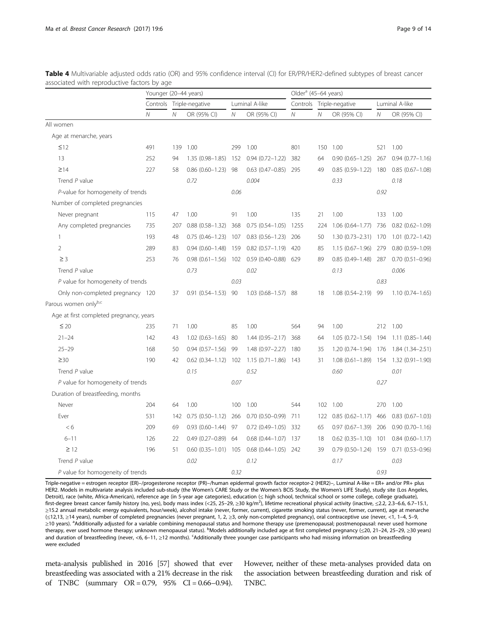|                                         | Younger (20-44 years) |              |                           |                |                                           | Older <sup>a</sup> (45-64 years) |                 |                            |                |                                       |
|-----------------------------------------|-----------------------|--------------|---------------------------|----------------|-------------------------------------------|----------------------------------|-----------------|----------------------------|----------------|---------------------------------------|
|                                         | Controls              |              | Triple-negative           | Luminal A-like |                                           | Controls                         | Triple-negative |                            | Luminal A-like |                                       |
|                                         | Ν                     | $\mathcal N$ | OR (95% CI)               | Ν              | OR (95% CI)                               | $\mathcal N$                     | Ν               | OR (95% CI)                | $\mathcal N$   | OR (95% CI)                           |
| All women                               |                       |              |                           |                |                                           |                                  |                 |                            |                |                                       |
| Age at menarche, years                  |                       |              |                           |                |                                           |                                  |                 |                            |                |                                       |
| $\leq$ 12                               | 491                   | 139          | 1.00                      | 299            | 1.00                                      | 801                              | 150             | 1.00                       | 521            | 1.00                                  |
| 13                                      | 252                   | 94           | $1.35(0.98 - 1.85)$       | 152            | $0.94(0.72 - 1.22)$                       | 382                              | 64              | $0.90(0.65 - 1.25)$        | 267            | $0.94(0.77 - 1.16)$                   |
| $\geq$ 14                               | 227                   | 58           | $0.86$ $(0.60 - 1.23)$ 98 |                | $0.63$ $(0.47 - 0.85)$ 295                |                                  | 49              | $0.85(0.59-1.22)$ 180      |                | $0.85(0.67-1.08)$                     |
| Trend P value                           |                       |              | 0.72                      |                | 0.004                                     |                                  |                 | 0.33                       |                | 0.18                                  |
| P-value for homogeneity of trends       |                       |              |                           | 0.06           |                                           |                                  |                 |                            | 0.92           |                                       |
| Number of completed pregnancies         |                       |              |                           |                |                                           |                                  |                 |                            |                |                                       |
| Never pregnant                          | 115                   | 47           | 1.00                      | 91             | 1.00                                      | 135                              | 21              | 1.00                       | 133            | 1.00                                  |
| Any completed pregnancies               | 735                   | 207          | $0.88(0.58 - 1.32)$       | 368            | $0.75(0.54 - 1.05)$                       | 1255                             | 224             | 1.06 (0.64-1.77) 736       |                | $0.82$ $(0.62 - 1.09)$                |
| $\mathbf{1}$                            | 193                   | 48           | $0.75(0.46 - 1.23)$ 107   |                | $0.83(0.56 - 1.23)$                       | 206                              | 50              | 1.30 (0.73-2.31) 170       |                | $1.01(0.72 - 1.42)$                   |
| $\overline{2}$                          | 289                   | 83           | $0.94(0.60 - 1.48)$ 159   |                | $0.82(0.57-1.19)$ 420                     |                                  | 85              | 1.15 (0.67-1.96) 279       |                | $0.80(0.59 - 1.09)$                   |
| $\geq$ 3                                | 253                   | 76           |                           |                | 0.98 (0.61-1.56) 102 0.59 (0.40-0.88) 629 |                                  | 89              | $0.85(0.49 - 1.48)$ 287    |                | $0.70(0.51 - 0.96)$                   |
| Trend $P$ value                         |                       |              | 0.73                      |                | 0.02                                      |                                  |                 | 0.13                       |                | 0.006                                 |
| $P$ value for homogeneity of trends     |                       |              |                           | 0.03           |                                           |                                  |                 |                            | 0.83           |                                       |
| Only non-completed pregnancy 120        |                       | 37           | $0.91(0.54 - 1.53)$ 90    |                | 1.03 (0.68-1.57) 88                       |                                  | 18              | 1.08 (0.54-2.19) 99        |                | $1.10(0.74 - 1.65)$                   |
| Parous women onlyb,c                    |                       |              |                           |                |                                           |                                  |                 |                            |                |                                       |
| Age at first completed pregnancy, years |                       |              |                           |                |                                           |                                  |                 |                            |                |                                       |
| $\leq 20$                               | 235                   | 71           | 1.00                      | 85             | 1.00                                      | 564                              | 94              | 1.00                       | 212            | 1.00                                  |
| $21 - 24$                               | 142                   | 43           | $1.02$ $(0.63 - 1.65)$ 80 |                | $1.44(0.95 - 2.17)$                       | 368                              | 64              | 1.05 (0.72-1.54) 194       |                | $1.11(0.85 - 1.44)$                   |
| $25 - 29$                               | 168                   | 50           | $0.94(0.57 - 1.56)$ 99    |                | 1.48 (0.97-2.27)                          | 180                              | 35              | 1.20 (0.74-1.94) 176       |                | 1.84 (1.34-2.51)                      |
| $\geq 30$                               | 190                   | 42           | $0.62(0.34 - 1.12)$ 102   |                | $1.15(0.71 - 1.86)$ 143                   |                                  | 31              |                            |                | 1.08 (0.61-1.89) 154 1.32 (0.91-1.90) |
| Trend $P$ value                         |                       |              | 0.15                      |                | 0.52                                      |                                  |                 | 0.60                       |                | 0.01                                  |
| $P$ value for homogeneity of trends     |                       |              |                           | 0.07           |                                           |                                  |                 |                            | 0.27           |                                       |
| Duration of breastfeeding, months       |                       |              |                           |                |                                           |                                  |                 |                            |                |                                       |
| Never                                   | 204                   | 64           | 1.00                      | 100            | 1.00                                      | 544                              | 102             | 1.00                       | 270            | 1.00                                  |
| Ever                                    | 531                   | 142          | $0.75(0.50 - 1.12)$       | 266            | $0.70(0.50 - 0.99)$                       | 711                              | 122             | $0.85(0.62 - 1.17)$ 466    |                | $0.83(0.67 - 1.03)$                   |
| <6                                      | 209                   | 69           | $0.93(0.60 - 1.44)$ 97    |                | $0.72$ $(0.49 - 1.05)$ 332                |                                  | 65              | $0.97$ $(0.67 - 1.39)$ 206 |                | $0.90(0.70 - 1.16)$                   |
| $6 - 11$                                | 126                   | 22           | $0.49(0.27 - 0.89)$ 64    |                | $0.68$ $(0.44 - 1.07)$ 137                |                                  | 18              | $0.62$ $(0.35-1.10)$ 101   |                | $0.84(0.60 - 1.17)$                   |
| $\geq$ 12                               | 196                   | 51           | $0.60$ $(0.35-1.01)$ 105  |                | $0.68$ $(0.44 - 1.05)$ 242                |                                  | 39              | $0.79(0.50 - 1.24)$ 159    |                | $0.71(0.53 - 0.96)$                   |
| Trend P value                           |                       |              | 0.02                      |                | 0.12                                      |                                  |                 | 0.17                       |                | 0.03                                  |
| P value for homogeneity of trends       |                       |              |                           | 0.32           |                                           |                                  |                 |                            | 0.93           |                                       |

<span id="page-8-0"></span>Table 4 Multivariable adjusted odds ratio (OR) and 95% confidence interval (CI) for ER/PR/HER2-defined subtypes of breast cancer associated with reproductive factors by age

Triple-negative = estrogen receptor (ER)–/progesterone receptor (PR)–/human epidermal growth factor receptor-2 (HER2)–, Luminal A-like = ER+ and/or PR+ plus HER2. Models in multivariate analysis included sub-study (the Women's CARE Study or the Women's BCIS Study, the Women's LIFE Study), study site (Los Angeles, Detroit), race (white, Africa-American), reference age (in 5-year age categories), education (≤ high school, technical school or some college, college graduate), first-degree breast cancer family history (no, yes), body mass index (<25, 25–29, ≥30 kg/m<sup>2</sup>), lifetime recreational physical activity (inactive, ≤2.2, 2.3–6.6, 6.7–15.1, ≥15.2 annual metabolic energy equivalents, hour/week), alcohol intake (never, former, current), cigarette smoking status (never, former, current), age at menarche (≤12,13, ≥14 years), number of completed pregnancies (never pregnant, 1, 2, ≥3, only non-completed pregnancy), oral contraceptive use (never, <1, 1–4, 5–9, ≥10 years). <sup>a</sup>Additionally adjusted for a variable combining menopausal status and hormone therapy use (premenopausal; postmenopausal: never used hormone therapy, ever used hormone therapy; unknown menopausal status). <sup>b</sup>Models additionally included age at first completed pregnancy (≤20, 21–24, 25–29, ≥30 years) and duration of breastfeeding (never, <6, 6–11, ≥12 months). <sup>c</sup>Additionally three younger case participants who had missing information on breastfeeding were excluded

meta-analysis published in 2016 [[57\]](#page-13-0) showed that ever breastfeeding was associated with a 21% decrease in the risk of TNBC (summary  $OR = 0.79$ ,  $95\%$   $CI = 0.66 - 0.94$ ).

However, neither of these meta-analyses provided data on the association between breastfeeding duration and risk of TNBC.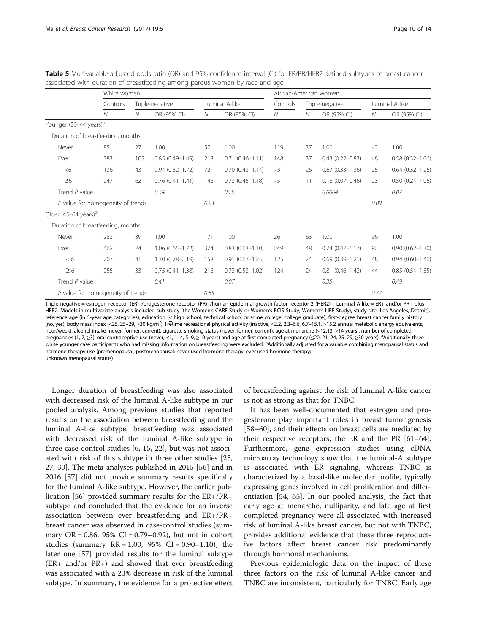|                                    | White women                         |     |                     |      |                        | African-American women |    |                        |              |                     |  |
|------------------------------------|-------------------------------------|-----|---------------------|------|------------------------|------------------------|----|------------------------|--------------|---------------------|--|
|                                    | Controls                            |     | Triple-negative     |      | Luminal A-like         | Controls               |    | Triple-negative        |              | Luminal A-like      |  |
|                                    | $\mathcal N$                        | N   | OR (95% CI)         | N    | OR (95% CI)            | ${\cal N}$             | N  | OR (95% CI)            | $\mathcal N$ | OR (95% CI)         |  |
| Younger (20-44 years) <sup>a</sup> |                                     |     |                     |      |                        |                        |    |                        |              |                     |  |
|                                    | Duration of breastfeeding, months   |     |                     |      |                        |                        |    |                        |              |                     |  |
| Never                              | 85                                  | 27  | 1.00                | 57   | 1.00                   | 119                    | 37 | 1.00                   | 43           | 1.00                |  |
| Ever                               | 383                                 | 105 | $0.85(0.49 - 1.49)$ | 218  | $0.71(0.46 - 1.11)$    | 148                    | 37 | $0.43(0.22 - 0.83)$    | 48           | $0.58(0.32 - 1.06)$ |  |
| <6                                 | 136                                 | 43  | $0.94(0.52 - 1.72)$ | 72   | $0.70(0.43 - 1.14)$    | 73                     | 26 | $0.67$ $(0.33 - 1.36)$ | 25           | $0.64(0.32 - 1.26)$ |  |
| $\geq 6$                           | 247                                 | 62  | $0.76(0.41 - 1.41)$ | 146  | $0.73$ $(0.45 - 1.18)$ | 75                     | 11 | $0.18(0.07 - 0.46)$    | 23           | $0.50(0.24 - 1.06)$ |  |
| Trend $P$ value                    |                                     |     | 0.34                |      | 0.28                   |                        |    | 0.0004                 |              | 0.07                |  |
|                                    | $P$ value for homogeneity of trends |     |                     | 0.93 |                        |                        |    |                        | 0.09         |                     |  |
| Older (45-64 years) <sup>b</sup>   |                                     |     |                     |      |                        |                        |    |                        |              |                     |  |
|                                    | Duration of breastfeeding, months   |     |                     |      |                        |                        |    |                        |              |                     |  |
| Never                              | 283                                 | 39  | 1.00                | 171  | 1.00                   | 261                    | 63 | 1.00                   | 96           | 1.00                |  |
| Ever                               | 462                                 | 74  | $1.06(0.65 - 1.72)$ | 374  | $0.83(0.63 - 1.10)$    | 249                    | 48 | $0.74(0.47 - 1.17)$    | 92           | $0.90(0.62 - 1.30)$ |  |
| <6                                 | 207                                 | 41  | $1.30(0.78 - 2.19)$ | 158  | $0.91(0.67 - 1.25)$    | 125                    | 24 | $0.69(0.39 - 1.21)$    | 48           | $0.94(0.60 - 1.46)$ |  |
| $\geq 6$                           | 255                                 | 33  | $0.75(0.41 - 1.38)$ | 216  | $0.73$ $(0.53 - 1.02)$ | 124                    | 24 | $0.81(0.46 - 1.43)$    | 44           | $0.85(0.54 - 1.35)$ |  |
| Trend P value                      |                                     |     | 0.41                |      | 0.07                   |                        |    | 0.35                   |              | 0.49                |  |
|                                    | P value for homogeneity of trends   |     |                     | 0.85 |                        |                        |    |                        | 0.72         |                     |  |

<span id="page-9-0"></span>Table 5 Multivariable adjusted odds ratio (OR) and 95% confidence interval (CI) for ER/PR/HER2-defined subtypes of breast cancer associated with duration of breastfeeding among parous women by race and age

Triple negative = estrogen receptor (ER)–/progesterone receptor (PR)–/human epidermal growth factor receptor-2 (HER2)–, Luminal A-like = ER+ and/or PR+ plus HER2. Models in multivariate analysis included sub-study (the Women's CARE Study or Women's BCIS Study, Women's LIFE Study), study site (Los Angeles, Detroit), reference age (in 5-year age categories), education (< high school, technical school or some college, college graduate), first-degree breast cancer family history (no, yes), body mass index (<25, 25–29, ≥30 kg/m<sup>2</sup>), lifetime recreational physical activity (inactive, ≤2.2, 2.3–6.6, 6.7–15.1, ≥15.2 annual metabolic energy equivalents, hour/week), alcohol intake (never, former, current), cigarette smoking status (never, former, current), age at menarche (≤12,13, ≥14 years), number of completed pregnancies (1, 2, ≥3), oral contraceptive use (never, <1, 1–4, 5–9, ≥10 years) and age at first completed pregnancy (≤20, 21–24, 25–29, ≥30 years). <sup>a</sup>Additionally three white younger case participants who had missing information on breastfeeding were excluded. <sup>b</sup>Additionally adjusted for a variable combining menopausal status and hormone therapy use (premenopausal; postmenopausal: never used hormone therapy, ever used hormone therapy; unknown menopausal status)

Longer duration of breastfeeding was also associated with decreased risk of the luminal A-like subtype in our pooled analysis. Among previous studies that reported results on the association between breastfeeding and the luminal A-like subtype, breastfeeding was associated with decreased risk of the luminal A-like subtype in three case-control studies [\[6](#page-12-0), [15](#page-12-0), [22](#page-12-0)], but was not associated with risk of this subtype in three other studies [[25](#page-12-0), [27, 30\]](#page-12-0). The meta-analyses published in 2015 [\[56](#page-13-0)] and in 2016 [[57\]](#page-13-0) did not provide summary results specifically for the luminal A-like subtype. However, the earlier publication [\[56](#page-13-0)] provided summary results for the ER+/PR+ subtype and concluded that the evidence for an inverse association between ever breastfeeding and ER+/PR+ breast cancer was observed in case-control studies (summary  $OR = 0.86$ , 95%  $CI = 0.79 - 0.92$ , but not in cohort studies (summary  $RR = 1.00$ ,  $95\%$  CI = 0.90-1.10); the later one [[57\]](#page-13-0) provided results for the luminal subtype (ER+ and/or PR+) and showed that ever breastfeeding was associated with a 23% decrease in risk of the luminal subtype. In summary, the evidence for a protective effect

of breastfeeding against the risk of luminal A-like cancer is not as strong as that for TNBC.

It has been well-documented that estrogen and progesterone play important roles in breast tumorigenesis [[58](#page-13-0)–[60](#page-13-0)], and their effects on breast cells are mediated by their respective receptors, the ER and the PR [[61](#page-13-0)–[64](#page-13-0)]. Furthermore, gene expression studies using cDNA microarray technology show that the luminal-A subtype is associated with ER signaling, whereas TNBC is characterized by a basal-like molecular profile, typically expressing genes involved in cell proliferation and differentiation [\[54](#page-13-0), [65\]](#page-13-0). In our pooled analysis, the fact that early age at menarche, nulliparity, and late age at first completed pregnancy were all associated with increased risk of luminal A-like breast cancer, but not with TNBC, provides additional evidence that these three reproductive factors affect breast cancer risk predominantly through hormonal mechanisms.

Previous epidemiologic data on the impact of these three factors on the risk of luminal A-like cancer and TNBC are inconsistent, particularly for TNBC. Early age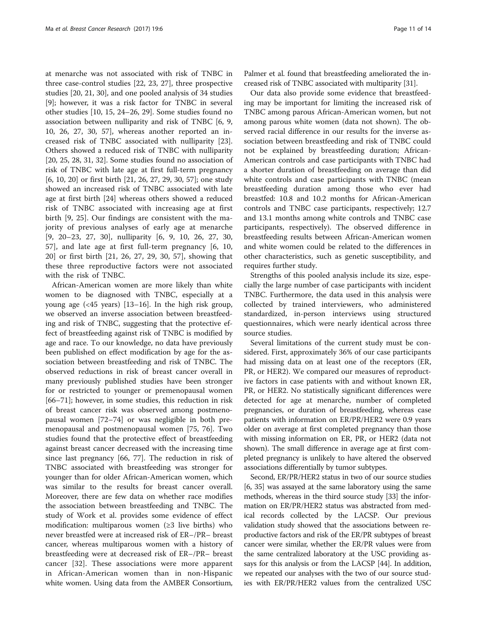at menarche was not associated with risk of TNBC in three case-control studies [[22, 23](#page-12-0), [27\]](#page-12-0), three prospective studies [[20, 21, 30](#page-12-0)], and one pooled analysis of 34 studies [[9\]](#page-12-0); however, it was a risk factor for TNBC in several other studies [\[10, 15](#page-12-0), [24](#page-12-0)–[26, 29](#page-12-0)]. Some studies found no association between nulliparity and risk of TNBC [\[6](#page-12-0), [9](#page-12-0), [10, 26](#page-12-0), [27, 30](#page-12-0), [57\]](#page-13-0), whereas another reported an increased risk of TNBC associated with nulliparity [\[23](#page-12-0)]. Others showed a reduced risk of TNBC with nulliparity [[20, 25, 28](#page-12-0), [31](#page-12-0), [32](#page-12-0)]. Some studies found no association of risk of TNBC with late age at first full-term pregnancy [[6, 10, 20\]](#page-12-0) or first birth [[21, 26](#page-12-0), [27](#page-12-0), [29](#page-12-0), [30](#page-12-0), [57](#page-13-0)]; one study showed an increased risk of TNBC associated with late age at first birth [\[24\]](#page-12-0) whereas others showed a reduced risk of TNBC associated with increasing age at first birth [[9](#page-12-0), [25](#page-12-0)]. Our findings are consistent with the majority of previous analyses of early age at menarche [[9, 20](#page-12-0)–[23](#page-12-0), [27](#page-12-0), [30](#page-12-0)], nulliparity [\[6](#page-12-0), [9](#page-12-0), [10](#page-12-0), [26](#page-12-0), [27](#page-12-0), [30](#page-12-0), [57\]](#page-13-0), and late age at first full-term pregnancy [[6, 10](#page-12-0), [20\]](#page-12-0) or first birth [[21, 26](#page-12-0), [27, 29, 30](#page-12-0), [57](#page-13-0)], showing that these three reproductive factors were not associated with the risk of TNBC.

African-American women are more likely than white women to be diagnosed with TNBC, especially at a young age (<45 years) [[13](#page-12-0)–[16](#page-12-0)]. In the high risk group, we observed an inverse association between breastfeeding and risk of TNBC, suggesting that the protective effect of breastfeeding against risk of TNBC is modified by age and race. To our knowledge, no data have previously been published on effect modification by age for the association between breastfeeding and risk of TNBC. The observed reductions in risk of breast cancer overall in many previously published studies have been stronger for or restricted to younger or premenopausal women [[66](#page-13-0)–[71](#page-13-0)]; however, in some studies, this reduction in risk of breast cancer risk was observed among postmenopausal women [\[72](#page-13-0)–[74](#page-13-0)] or was negligible in both premenopausal and postmenopausal women [[75](#page-13-0), [76](#page-13-0)]. Two studies found that the protective effect of breastfeeding against breast cancer decreased with the increasing time since last pregnancy [[66, 77](#page-13-0)]. The reduction in risk of TNBC associated with breastfeeding was stronger for younger than for older African-American women, which was similar to the results for breast cancer overall. Moreover, there are few data on whether race modifies the association between breastfeeding and TNBC. The study of Work et al. provides some evidence of effect modification: multiparous women  $(\geq 3)$  live births) who never breastfed were at increased risk of ER–/PR– breast cancer, whereas multiparous women with a history of breastfeeding were at decreased risk of ER–/PR– breast cancer [\[32](#page-12-0)]. These associations were more apparent in African-American women than in non-Hispanic white women. Using data from the AMBER Consortium,

Palmer et al. found that breastfeeding ameliorated the increased risk of TNBC associated with multiparity [[31\]](#page-12-0).

Our data also provide some evidence that breastfeeding may be important for limiting the increased risk of TNBC among parous African-American women, but not among parous white women (data not shown). The observed racial difference in our results for the inverse association between breastfeeding and risk of TNBC could not be explained by breastfeeding duration; African-American controls and case participants with TNBC had a shorter duration of breastfeeding on average than did white controls and case participants with TNBC (mean breastfeeding duration among those who ever had breastfed: 10.8 and 10.2 months for African-American controls and TNBC case participants, respectively; 12.7 and 13.1 months among white controls and TNBC case participants, respectively). The observed difference in breastfeeding results between African-American women and white women could be related to the differences in other characteristics, such as genetic susceptibility, and requires further study.

Strengths of this pooled analysis include its size, especially the large number of case participants with incident TNBC. Furthermore, the data used in this analysis were collected by trained interviewers, who administered standardized, in-person interviews using structured questionnaires, which were nearly identical across three source studies.

Several limitations of the current study must be considered. First, approximately 36% of our case participants had missing data on at least one of the receptors (ER, PR, or HER2). We compared our measures of reproductive factors in case patients with and without known ER, PR, or HER2. No statistically significant differences were detected for age at menarche, number of completed pregnancies, or duration of breastfeeding, whereas case patients with information on ER/PR/HER2 were 0.9 years older on average at first completed pregnancy than those with missing information on ER, PR, or HER2 (data not shown). The small difference in average age at first completed pregnancy is unlikely to have altered the observed associations differentially by tumor subtypes.

Second, ER/PR/HER2 status in two of our source studies [[6](#page-12-0), [35](#page-12-0)] was assayed at the same laboratory using the same methods, whereas in the third source study [[33](#page-12-0)] the information on ER/PR/HER2 status was abstracted from medical records collected by the LACSP. Our previous validation study showed that the associations between reproductive factors and risk of the ER/PR subtypes of breast cancer were similar, whether the ER/PR values were from the same centralized laboratory at the USC providing assays for this analysis or from the LACSP [[44](#page-13-0)]. In addition, we repeated our analyses with the two of our source studies with ER/PR/HER2 values from the centralized USC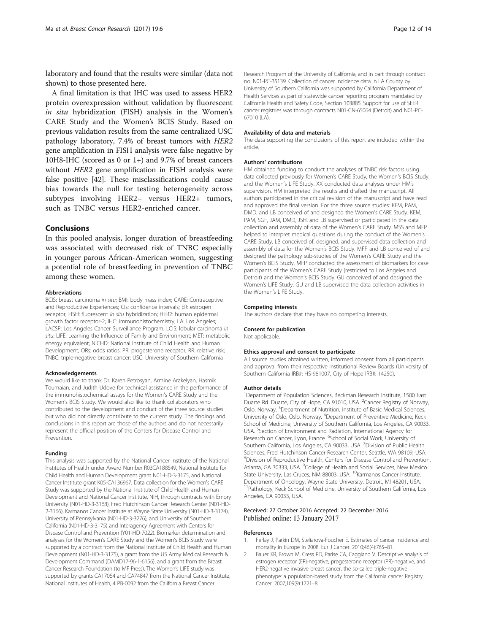<span id="page-11-0"></span>laboratory and found that the results were similar (data not shown) to those presented here.

A final limitation is that IHC was used to assess HER2 protein overexpression without validation by fluorescent in situ hybridization (FISH) analysis in the Women's CARE Study and the Women's BCIS Study. Based on previous validation results from the same centralized USC pathology laboratory, 7.4% of breast tumors with HER2 gene amplification in FISH analysis were false negative by 10H8-IHC (scored as 0 or 1+) and 9.7% of breast cancers without HER2 gene amplification in FISH analysis were false positive [\[42\]](#page-13-0). These misclassifications could cause bias towards the null for testing heterogeneity across subtypes involving HER2– versus HER2+ tumors, such as TNBC versus HER2-enriched cancer.

## Conclusions

In this pooled analysis, longer duration of breastfeeding was associated with decreased risk of TNBC especially in younger parous African-American women, suggesting a potential role of breastfeeding in prevention of TNBC among these women.

#### Abbreviations

BCIS: breast carcinoma in situ; BMI: body mass index; CARE: Contraceptive and Reproductive Experiences; CIs: confidence intervals; ER: estrogen receptor; FISH: fluorescent in situ hybridization; HER2: human epidermal growth factor receptor-2; IHC: immunohistochemistry; LA: Los Angeles; LACSP: Los Angeles Cancer Surveillance Program; LCIS: lobular carcinoma in situ; LIFE: Learning the Influence of Family and Environment; MET: metabolic energy equivalent; NICHD: National Institute of Child Health and Human Development; ORs: odds ratios; PR: progesterone receptor; RR: relative risk; TNBC: triple-negative breast cancer; USC: University of Southern California

#### Acknowledgements

We would like to thank Dr. Karen Petrosyan, Armine Arakelyan, Hasmik Toumaian, and Judith Udove for technical assistance in the performance of the immunohistochemical assays for the Women's CARE Study and the Women's BCIS Study. We would also like to thank collaborators who contributed to the development and conduct of the three source studies but who did not directly contribute to the current study. The findings and conclusions in this report are those of the authors and do not necessarily represent the official position of the Centers for Disease Control and Prevention.

#### Funding

This analysis was supported by the National Cancer Institute of the National Institutes of Health under Award Number R03CA188549, National Institute for Child Health and Human Development grant N01-HD-3-3175, and National Cancer Institute grant K05-CA136967. Data collection for the Women's CARE Study was supported by the National Institute of Child Health and Human Development and National Cancer Institute, NIH, through contracts with Emory University (N01-HD-3-3168), Fred Hutchinson Cancer Research Center (N01-HD-2-3166), Karmanos Cancer Institute at Wayne State University (N01-HD-3-3174), University of Pennsylvania (N01-HD-3-3276), and University of Southern California (N01-HD-3-3175) and Interagency Agreement with Centers for Disease Control and Prevention (Y01-HD-7022). Biomarker determination and analyses for the Women's CARE Study and the Women's BCIS Study were supported by a contract from the National Institute of Child Health and Human Development (N01-HD-3-3175), a grant from the US Army Medical Research & Development Command (DAMD17-96-1-6156), and a grant from the Breast Cancer Research Foundation (to MF Press). The Women's LIFE study was supported by grants CA17054 and CA74847 from the National Cancer Institute, National Institutes of Health, 4 PB-0092 from the California Breast Cancer

Research Program of the University of California, and in part through contract no. N01-PC-35139. Collection of cancer incidence data in LA County by University of Southern California was supported by California Department of Health Services as part of statewide cancer reporting program mandated by California Health and Safety Code, Section 103885. Support for use of SEER cancer registries was through contracts N01-CN-65064 (Detroit) and N01-PC-67010 (LA).

#### Availability of data and materials

The data supporting the conclusions of this report are included within the article.

#### Authors' contributions

HM obtained funding to conduct the analyses of TNBC risk factors using data collected previously for Women's CARE Study, the Women's BCIS Study, and the Women's LIFE Study. XX conducted data analyses under HM's supervision. HM interpreted the results and drafted the manuscript. All authors participated in the critical revision of the manuscript and have read and approved the final version. For the three source studies: KEM, PAM, DMD, and LB conceived of and designed the Women's CARE Study. KEM, PAM, SGF, JAM, DMD, JSH, and LB supervised or participated in the data collection and assembly of data of the Women's CARE Study. MSS and MFP helped to interpret medical questions during the conduct of the Women's CARE Study. LB conceived of, designed, and supervised data collection and assembly of data for the Women's BCIS Study. MFP and LB conceived of and designed the pathology sub-studies of the Women's CARE Study and the Women's BCIS Study. MFP conducted the assessment of biomarkers for case participants of the Women's CARE Study (restricted to Los Angeles and Detroit) and the Women's BCIS Study. GU conceived of and designed the Women's LIFE Study. GU and LB supervised the data collection activities in the Women's LIFE Study.

#### Competing interests

The authors declare that they have no competing interests.

#### Consent for publication

Not applicable.

#### Ethics approval and consent to participate

All source studies obtained written, informed consent from all participants and approval from their respective Institutional Review Boards (University of Southern California IRB#: HS-981007, City of Hope IRB#: 14250).

#### Author details

<sup>1</sup>Department of Population Sciences, Beckman Research Institute, 1500 East Duarte Rd. Duarte, City of Hope, CA 91010, USA. <sup>2</sup>Cancer Registry of Norway, Oslo, Norway. <sup>3</sup>Department of Nutrition, Institute of Basic Medical Sciences, University of Oslo, Oslo, Norway. <sup>4</sup>Department of Preventive Medicine, Keck School of Medicine, University of Southern California, Los Angeles, CA 90033, USA. <sup>5</sup>Section of Environment and Radiation, International Agency for Research on Cancer, Lyon, France. <sup>6</sup>School of Social Work, University of Southern California, Los Angeles, CA 90033, USA. <sup>7</sup> Division of Public Health Sciences, Fred Hutchinson Cancer Research Center, Seattle, WA 98109, USA. 8 Division of Reproductive Health, Centers for Disease Control and Prevention, Atlanta, GA 30333, USA. <sup>9</sup>College of Health and Social Services, New Mexico State University, Las Cruces, NM 88003, USA. <sup>10</sup>Karmanos Cancer Institute, Department of Oncology, Wayne State University, Detroit, MI 48201, USA. <sup>11</sup>Pathology, Keck School of Medicine, University of Southern California, Los Angeles, CA 90033, USA.

#### Received: 27 October 2016 Accepted: 22 December 2016 Published online: 13 January 2017

#### References

- 1. Ferlay J, Parkin DM, Steliarova-Foucher E. Estimates of cancer incidence and mortality in Europe in 2008. Eur J Cancer. 2010;46(4):765–81.
- Bauer KR, Brown M, Cress RD, Parise CA, Caggiano V. Descriptive analysis of estrogen receptor (ER)-negative, progesterone receptor (PR)-negative, and HER2-negative invasive breast cancer, the so-called triple-negative phenotype: a population-based study from the California cancer Registry. Cancer. 2007;109(9):1721–8.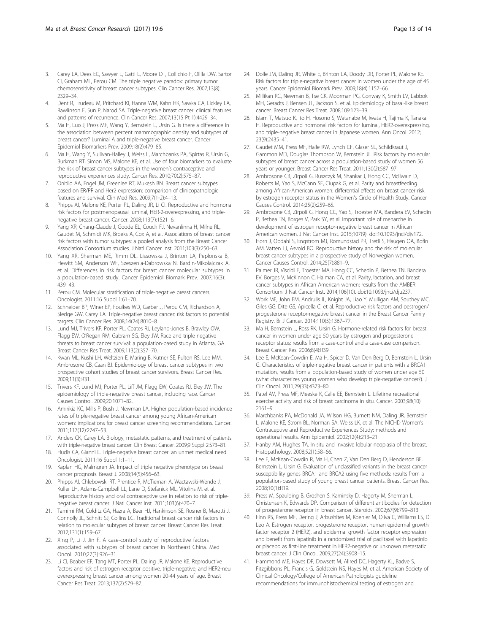- <span id="page-12-0"></span>3. Carey LA, Dees EC, Sawyer L, Gatti L, Moore DT, Collichio F, Ollila DW, Sartor CI, Graham ML, Perou CM. The triple negative paradox: primary tumor chemosensitivity of breast cancer subtypes. Clin Cancer Res. 2007;13(8): 2329–34.
- 4. Dent R, Trudeau M, Pritchard KI, Hanna WM, Kahn HK, Sawka CA, Lickley LA, Rawlinson E, Sun P, Narod SA. Triple-negative breast cancer: clinical features and patterns of recurrence. Clin Cancer Res. 2007;13(15 Pt 1):4429–34.
- 5. Ma H, Luo J, Press MF, Wang Y, Bernstein L, Ursin G. Is there a difference in the association between percent mammographic density and subtypes of breast cancer? Luminal A and triple-negative breast cancer. Cancer Epidemiol Biomarkers Prev. 2009;18(2):479–85.
- 6. Ma H, Wang Y, Sullivan-Halley J, Weiss L, Marchbanks PA, Spirtas R, Ursin G, Burkman RT, Simon MS, Malone KE, et al. Use of four biomarkers to evaluate the risk of breast cancer subtypes in the women's contraceptive and reproductive experiences study. Cancer Res. 2010;70(2):575–87.
- 7. Onitilo AA, Engel JM, Greenlee RT, Mukesh BN. Breast cancer subtypes based on ER/PR and Her2 expression: comparison of clinicopathologic features and survival. Clin Med Res. 2009;7(1-2):4–13.
- 8. Phipps AI, Malone KE, Porter PL, Daling JR, Li CI. Reproductive and hormonal risk factors for postmenopausal luminal, HER-2-overexpressing, and triplenegative breast cancer. Cancer. 2008;113(7):1521–6.
- Yang XR, Chang-Claude J, Goode EL, Couch FJ, Nevanlinna H, Milne RL, Gaudet M, Schmidt MK, Broeks A, Cox A, et al. Associations of breast cancer risk factors with tumor subtypes: a pooled analysis from the Breast Cancer Association Consortium studies. J Natl Cancer Inst. 2011;103(3):250–63.
- 10. Yang XR, Sherman ME, Rimm DL, Lissowska J, Brinton LA, Peplonska B, Hewitt SM, Anderson WF, Szeszenia-Dabrowska N, Bardin-Mikolajczak A, et al. Differences in risk factors for breast cancer molecular subtypes in a population-based study. Cancer Epidemiol Biomark Prev. 2007;16(3): 439–43.
- 11. Perou CM. Molecular stratification of triple-negative breast cancers. Oncologist. 2011;16 Suppl 1:61–70.
- 12. Schneider BP, Winer EP, Foulkes WD, Garber J, Perou CM, Richardson A, Sledge GW, Carey LA. Triple-negative breast cancer: risk factors to potential targets. Clin Cancer Res. 2008;14(24):8010–8.
- 13. Lund MJ, Trivers KF, Porter PL, Coates RJ, Leyland-Jones B, Brawley OW, Flagg EW, O'Regan RM, Gabram SG, Eley JW. Race and triple negative threats to breast cancer survival: a population-based study in Atlanta, GA. Breast Cancer Res Treat. 2009;113(2):357–70.
- 14. Kwan ML, Kushi LH, Weltzien E, Maring B, Kutner SE, Fulton RS, Lee MM, Ambrosone CB, Caan BJ. Epidemiology of breast cancer subtypes in two prospective cohort studies of breast cancer survivors. Breast Cancer Res. 2009;11(3):R31.
- 15. Trivers KF, Lund MJ, Porter PL, Liff JM, Flagg EW, Coates RJ, Eley JW. The epidemiology of triple-negative breast cancer, including race. Cancer Causes Control. 2009;20:1071–82.
- 16. Amirikia KC, Mills P, Bush J, Newman LA. Higher population-based incidence rates of triple-negative breast cancer among young African-American women: implications for breast cancer screening recommendations. Cancer. 2011;117(12):2747–53.
- 17. Anders CK, Carey LA. Biology, metastatic patterns, and treatment of patients with triple-negative breast cancer. Clin Breast Cancer. 2009;9 Suppl 2:S73–81.
- 18. Hudis CA, Gianni L. Triple-negative breast cancer: an unmet medical need. Oncologist. 2011;16 Suppl 1:1–11.
- 19. Kaplan HG, Malmgren JA. Impact of triple negative phenotype on breast cancer prognosis. Breast J. 2008;14(5):456–63.
- 20. Phipps AI, Chlebowski RT, Prentice R, McTiernan A, Wactawski-Wende J, Kuller LH, Adams-Campbell LL, Lane D, Stefanick ML, Vitolins M, et al. Reproductive history and oral contraceptive use in relation to risk of triplenegative breast cancer. J Natl Cancer Inst. 2011;103(6):470–7.
- 21. Tamimi RM, Colditz GA, Hazra A, Baer HJ, Hankinson SE, Rosner B, Marotti J, Connolly JL, Schnitt SJ, Collins LC. Traditional breast cancer risk factors in relation to molecular subtypes of breast cancer. Breast Cancer Res Treat. 2012;131(1):159–67.
- 22. Xing P, Li J, Jin F. A case-control study of reproductive factors associated with subtypes of breast cancer in Northeast China. Med Oncol. 2010;27(3):926–31.
- 23. Li CI, Beaber EF, Tang MT, Porter PL, Daling JR, Malone KE. Reproductive factors and risk of estrogen receptor positive, triple-negative, and HER2-neu overexpressing breast cancer among women 20-44 years of age. Breast Cancer Res Treat. 2013;137(2):579–87.
- 24. Dolle JM, Daling JR, White E, Brinton LA, Doody DR, Porter PL, Malone KE. Risk factors for triple-negative breast cancer in women under the age of 45 years. Cancer Epidemiol Biomark Prev. 2009;18(4):1157–66.
- 25. Millikan RC, Newman B, Tse CK, Moorman PG, Conway K, Smith LV, Labbok MH, Geradts J, Bensen JT, Jackson S, et al. Epidemiology of basal-like breast cancer. Breast Cancer Res Treat. 2008;109:123–39.
- 26. Islam T, Matsuo K, Ito H, Hosono S, Watanabe M, Iwata H, Tajima K, Tanaka H. Reproductive and hormonal risk factors for luminal, HER2-overexpressing, and triple-negative breast cancer in Japanese women. Ann Oncol. 2012; 23(9):2435–41.
- 27. Gaudet MM, Press MF, Haile RW, Lynch CF, Glaser SL, Schildkraut J, Gammon MD, Douglas Thompson W, Bernstein JL. Risk factors by molecular subtypes of breast cancer across a population-based study of women 56 years or younger. Breast Cancer Res Treat. 2011;130(2):587–97.
- 28. Ambrosone CB, Zirpoli G, Ruszczyk M, Shankar J, Hong CC, McIlwain D, Roberts M, Yao S, McCann SE, Ciupak G, et al. Parity and breastfeeding among African-American women: differential effects on breast cancer risk by estrogen receptor status in the Women's Circle of Health Study. Cancer Causes Control. 2014;25(2):259–65.
- 29. Ambrosone CB, Zirpoli G, Hong CC, Yao S, Troester MA, Bandera EV, Schedin P, Bethea TN, Borges V, Park SY, et al. Important role of menarche in development of estrogen receptor-negative breast cancer in African American women. J Nat Cancer Inst. 2015;107(9). doi:[10.1093/jnci/djv172.](http://dx.doi.org/10.1093/jnci/djv172)
- 30. Horn J, Opdahl S, Engstrom MJ, Romundstad PR, Tretli S, Haugen OA, Bofin AM, Vatten LJ, Asvold BO. Reproductive history and the risk of molecular breast cancer subtypes in a prospective study of Norwegian women. Cancer Causes Control. 2014;25(7):881–9.
- 31. Palmer JR, Viscidi E, Troester MA, Hong CC, Schedin P, Bethea TN, Bandera EV, Borges V, McKinnon C, Haiman CA, et al. Parity, lactation, and breast cancer subtypes in African American women: results from the AMBER Consortium. J Nat Cancer Inst. 2014;106(10). doi[:10.1093/jnci/dju237.](http://dx.doi.org/10.1093/jnci/dju237)
- 32. Work ME, John EM, Andrulis IL, Knight JA, Liao Y, Mulligan AM, Southey MC, Giles GG, Dite GS, Apicella C, et al. Reproductive risk factors and oestrogen/ progesterone receptor-negative breast cancer in the Breast Cancer Family Registry. Br J Cancer. 2014;110(5):1367–77.
- 33. Ma H, Bernstein L, Ross RK, Ursin G. Hormone-related risk factors for breast cancer in women under age 50 years by estrogen and progesterone receptor status: results from a case-control and a case-case comparison. Breast Cancer Res. 2006;8(4):R39.
- 34. Lee E, McKean-Cowdin E, Ma H, Spicer D, Van Den Berg D, Bernstein L, Ursin G. Characteristics of triple-negative breast cancer in patients with a BRCA1 mutation, results from a population-based study of women under age 50 (what characterizes young women who develop triple-negative cancer?). J Clin Oncol. 2011;29(33):4373–80.
- 35. Patel AV, Press MF, Meeske K, Calle EE, Bernstein L. Lifetime recreational exercise activity and risk of breast carcinoma in situ. Cancer. 2003;98(10): 2161–9.
- 36. Marchbanks PA, McDonald JA, Wilson HG, Burnett NM, Daling JR, Bernstein L, Malone KE, Strom BL, Norman SA, Weiss LK, et al. The NICHD Women's Contraceptive and Reproductive Experiences Study: methods and operational results. Ann Epidemiol. 2002;12(4):213–21.
- 37. Hanby AM, Hughes TA. In situ and invasive lobular neoplasia of the breast. Histopathology. 2008;52(1):58–66.
- 38. Lee E, McKean-Cowdin R, Ma H, Chen Z, Van Den Berg D, Henderson BE, Bernstein L, Ursin G. Evaluation of unclassified variants in the breast cancer susceptibility genes BRCA1 and BRCA2 using five methods: results from a population-based study of young breast cancer patients. Breast Cancer Res. 2008;10(1):R19.
- 39. Press M, Spaulding B, Groshen S, Kaminsky D, Hagerty M, Sherman L, Christensen K, Edwards DP. Comparison of different antibodies for detection of progesterone receptor in breast cancer. Steroids. 2002;67(9):799–813.
- 40. Finn RS, Press MF, Dering J, Arbushites M, Koehler M, Oliva C, Williams LS, Di Leo A. Estrogen receptor, progesterone receptor, human epidermal growth factor receptor 2 (HER2), and epidermal growth factor receptor expression and benefit from lapatinib in a randomized trial of paclitaxel with lapatinib or placebo as first-line treatment in HER2-negative or unknown metastatic breast cancer. J Clin Oncol. 2009;27(24):3908–15.
- 41. Hammond ME, Hayes DF, Dowsett M, Allred DC, Hagerty KL, Badve S, Fitzgibbons PL, Francis G, Goldstein NS, Hayes M, et al. American Society of Clinical Oncology/College of American Pathologists guideline recommendations for immunohistochemical testing of estrogen and